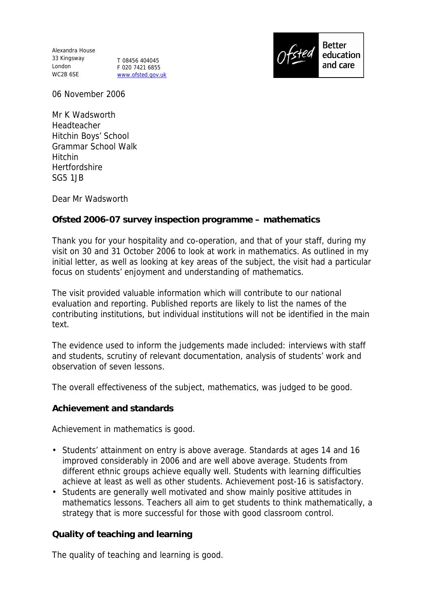Alexandra House 33 Kingsway London T 08456 404045 WC2B 6SE

F 020 7421 6855 www.ofsted.gov.uk



06 November 2006

Mr K Wadsworth Headteacher Hitchin Boys' School Grammar School Walk Hitchin **Hertfordshire** SG5 1JB

Dear Mr Wadsworth

## **Ofsted 2006-07 survey inspection programme – mathematics**

Thank you for your hospitality and co-operation, and that of your staff, during my visit on 30 and 31 October 2006 to look at work in mathematics. As outlined in my initial letter, as well as looking at key areas of the subject, the visit had a particular focus on students' enjoyment and understanding of mathematics.

The visit provided valuable information which will contribute to our national evaluation and reporting. Published reports are likely to list the names of the contributing institutions, but individual institutions will not be identified in the main text.

The evidence used to inform the judgements made included: interviews with staff and students, scrutiny of relevant documentation, analysis of students' work and observation of seven lessons.

The overall effectiveness of the subject, mathematics, was judged to be good.

**Achievement and standards**

Achievement in mathematics is good.

- Students' attainment on entry is above average. Standards at ages 14 and 16 improved considerably in 2006 and are well above average. Students from different ethnic groups achieve equally well. Students with learning difficulties achieve at least as well as other students. Achievement post-16 is satisfactory.
- Students are generally well motivated and show mainly positive attitudes in mathematics lessons. Teachers all aim to get students to think mathematically, a strategy that is more successful for those with good classroom control.

**Quality of teaching and learning**

The quality of teaching and learning is good.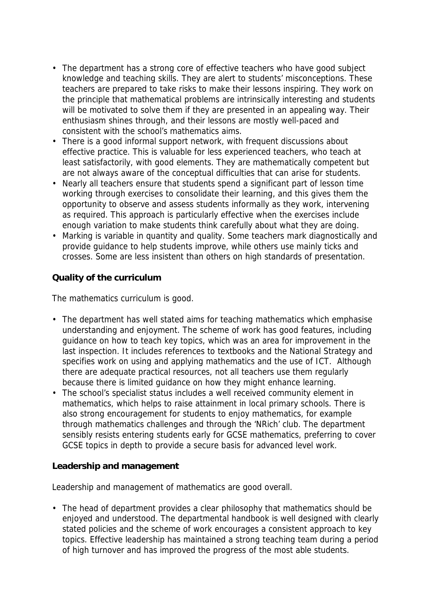- The department has a strong core of effective teachers who have good subject knowledge and teaching skills. They are alert to students' misconceptions. These teachers are prepared to take risks to make their lessons inspiring. They work on the principle that mathematical problems are intrinsically interesting and students will be motivated to solve them if they are presented in an appealing way. Their enthusiasm shines through, and their lessons are mostly well-paced and consistent with the school's mathematics aims.
- There is a good informal support network, with frequent discussions about effective practice. This is valuable for less experienced teachers, who teach at least satisfactorily, with good elements. They are mathematically competent but are not always aware of the conceptual difficulties that can arise for students.
- Nearly all teachers ensure that students spend a significant part of lesson time working through exercises to consolidate their learning, and this gives them the opportunity to observe and assess students informally as they work, intervening as required. This approach is particularly effective when the exercises include enough variation to make students think carefully about what they are doing.
- Marking is variable in quantity and quality. Some teachers mark diagnostically and provide guidance to help students improve, while others use mainly ticks and crosses. Some are less insistent than others on high standards of presentation.

**Quality of the curriculum**

The mathematics curriculum is good.

- The department has well stated aims for teaching mathematics which emphasise understanding and enjoyment. The scheme of work has good features, including guidance on how to teach key topics, which was an area for improvement in the last inspection. It includes references to textbooks and the National Strategy and specifies work on using and applying mathematics and the use of ICT. Although there are adequate practical resources, not all teachers use them regularly because there is limited guidance on how they might enhance learning.
- The school's specialist status includes a well received community element in mathematics, which helps to raise attainment in local primary schools. There is also strong encouragement for students to enjoy mathematics, for example through mathematics challenges and through the 'NRich' club. The department sensibly resists entering students early for GCSE mathematics, preferring to cover GCSE topics in depth to provide a secure basis for advanced level work.

**Leadership and management**

Leadership and management of mathematics are good overall.

• The head of department provides a clear philosophy that mathematics should be enjoyed and understood. The departmental handbook is well designed with clearly stated policies and the scheme of work encourages a consistent approach to key topics. Effective leadership has maintained a strong teaching team during a period of high turnover and has improved the progress of the most able students.